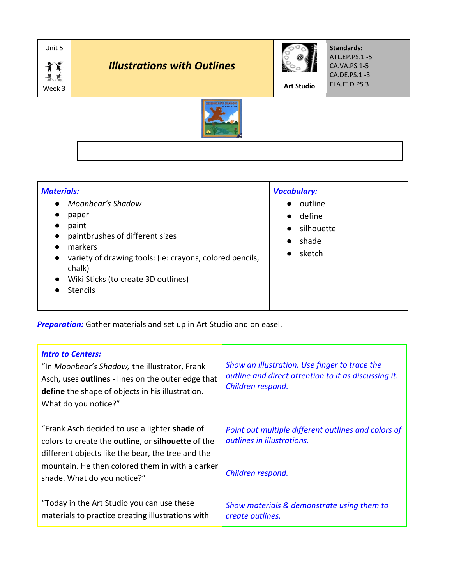

| <b>Materials:</b>                                                                                                                                                                                                                                                                  | <b>Vocabulary:</b>                                                                        |
|------------------------------------------------------------------------------------------------------------------------------------------------------------------------------------------------------------------------------------------------------------------------------------|-------------------------------------------------------------------------------------------|
| Moonbear's Shadow<br>$\bullet$<br>paper<br>paint<br>$\bullet$<br>paintbrushes of different sizes<br>$\bullet$<br>markers<br>variety of drawing tools: (ie: crayons, colored pencils,<br>$\bullet$<br>chalk)<br>Wiki Sticks (to create 3D outlines)<br>$\bullet$<br><b>Stencils</b> | outline<br>$\bullet$<br>define<br>$\bullet$<br>silhouette<br>shade<br>$\bullet$<br>sketch |

*Preparation:* Gather materials and set up in Art Studio and on easel.

| <b>Intro to Centers:</b><br>"In Moonbear's Shadow, the illustrator, Frank<br>Asch, uses outlines - lines on the outer edge that<br><b>define</b> the shape of objects in his illustration.<br>What do you notice?"                                        | Show an illustration. Use finger to trace the<br>outline and direct attention to it as discussing it.<br>Children respond. |
|-----------------------------------------------------------------------------------------------------------------------------------------------------------------------------------------------------------------------------------------------------------|----------------------------------------------------------------------------------------------------------------------------|
| "Frank Asch decided to use a lighter shade of<br>colors to create the <b>outline</b> , or <b>silhouette</b> of the<br>different objects like the bear, the tree and the<br>mountain. He then colored them in with a darker<br>shade. What do you notice?" | Point out multiple different outlines and colors of<br>outlines in illustrations.<br>Children respond.                     |
| "Today in the Art Studio you can use these<br>materials to practice creating illustrations with                                                                                                                                                           | Show materials & demonstrate using them to<br>create outlines.                                                             |